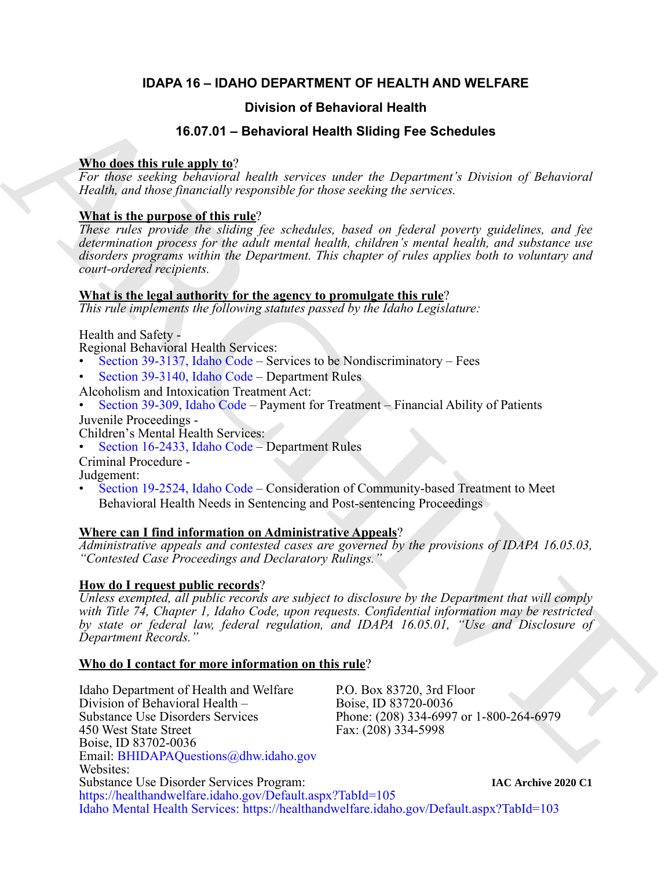# **IDAPA 16 – IDAHO DEPARTMENT OF HEALTH AND WELFARE**

# **Division of Behavioral Health**

# **16.07.01 – Behavioral Health Sliding Fee Schedules**

# **Who does this rule apply to**?

*For those seeking behavioral health services under the Department's Division of Behavioral Health, and those financially responsible for those seeking the services.*

# **What is the purpose of this rule**?

*These rules provide the sliding fee schedules, based on federal poverty guidelines, and fee determination process for the adult mental health, children's mental health, and substance use disorders programs within the Department. This chapter of rules applies both to voluntary and court-ordered recipients.*

## **What is the legal authority for the agency to promulgate this rule**?

*This rule implements the following statutes passed by the Idaho Legislature:*

Health and Safety -

Regional Behavioral Health Services:

- Section 39-3137, Idaho Code Services to be Nondiscriminatory Fees
- Section 39-3140, Idaho Code Department Rules

- Alcoholism and Intoxication Treatment Act: Section 39-309, Idaho Code Payment for Treatment Financial Ability of Patients
- Juvenile Proceedings -
- Section 16-2433, Idaho Code Department Rules
- Criminal Procedure -

Judgement:<br>• Section 19-2524, Idaho Code – Consideration of Community-based Treatment to Meet Behavioral Health Needs in Sentencing and Post-sentencing Proceedings

# **Where can I find information on Administrative Appeals**?

*Administrative appeals and contested cases are governed by the provisions of IDAPA 16.05.03, "Contested Case Proceedings and Declaratory Rulings."*

# **How do I request public records**?

*Unless exempted, all public records are subject to disclosure by the Department that will comply with Title 74, Chapter 1, Idaho Code, upon requests. Confidential information may be restricted by state or federal law, federal regulation, and IDAPA 16.05.01, "Use and Disclosure of Department Records."*

## **Who do I contact for more information on this rule**?

**16.67.01 Chiracho di Behavioral Health<br>
16.67.01 - Behavioral Health Silding Fee Schedules<br>
Nika describir principal health Silding Fee Schedules<br>
2010 - Agent exchanging health started health started Director and the** Idaho Department of Health and Welfare P.O. Box 83720, 3rd Floor Division of Behavioral Health – Boise, ID 83720-0036<br>Substance Use Disorders Services Phone: (208) 334-6997 Substance Use Disorders Services<br>
450 West State Street<br>
Fax: (208) 334-5998 Fax: (208) 334-5998 Boise, ID 83702-0036 Email: BHIDAPAQuestions@dhw.idaho.gov Websites: Substance Use Disorder Services Program: <https://healthandwelfare.idaho.gov/Default.aspx?TabId=105> <Idaho Mental Health Services: https://healthandwelfare.idaho.gov/Default.aspx?TabId=103> **IAC Archive 2020 C1**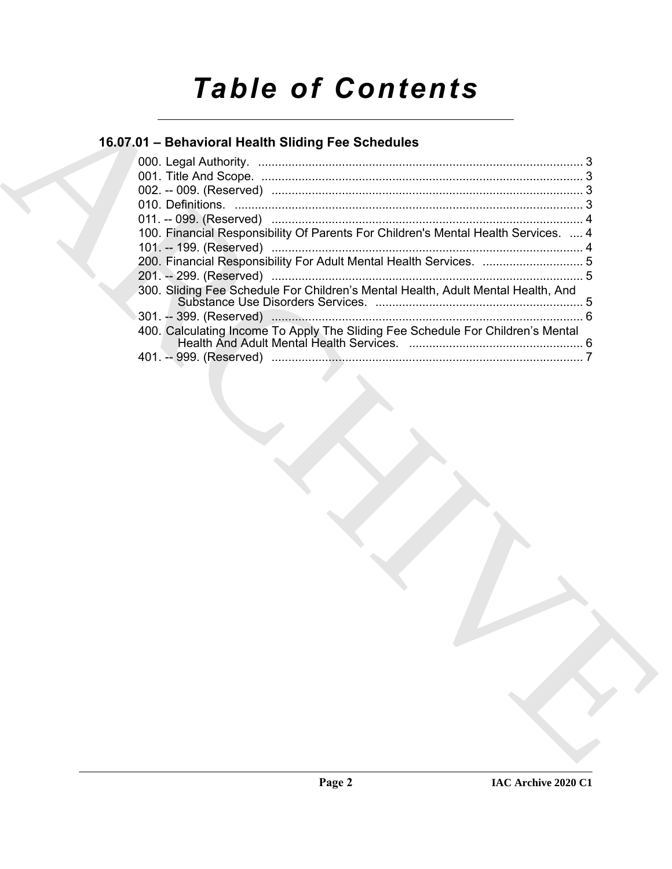# *Table of Contents*

# **16.07.01 – Behavioral Health Sliding Fee Schedules**

| 16.07.01 - Behavioral Health Sliding Fee Schedules                                 |
|------------------------------------------------------------------------------------|
|                                                                                    |
|                                                                                    |
|                                                                                    |
| 100. Financial Responsibility Of Parents For Children's Mental Health Services.  4 |
|                                                                                    |
| 200. Financial Responsibility For Adult Mental Health Services.  5                 |
|                                                                                    |
| 300. Sliding Fee Schedule For Children's Mental Health, Adult Mental Health, And   |
|                                                                                    |
| 400. Calculating Income To Apply The Sliding Fee Schedule For Children's Mental    |
|                                                                                    |
|                                                                                    |
|                                                                                    |
|                                                                                    |
|                                                                                    |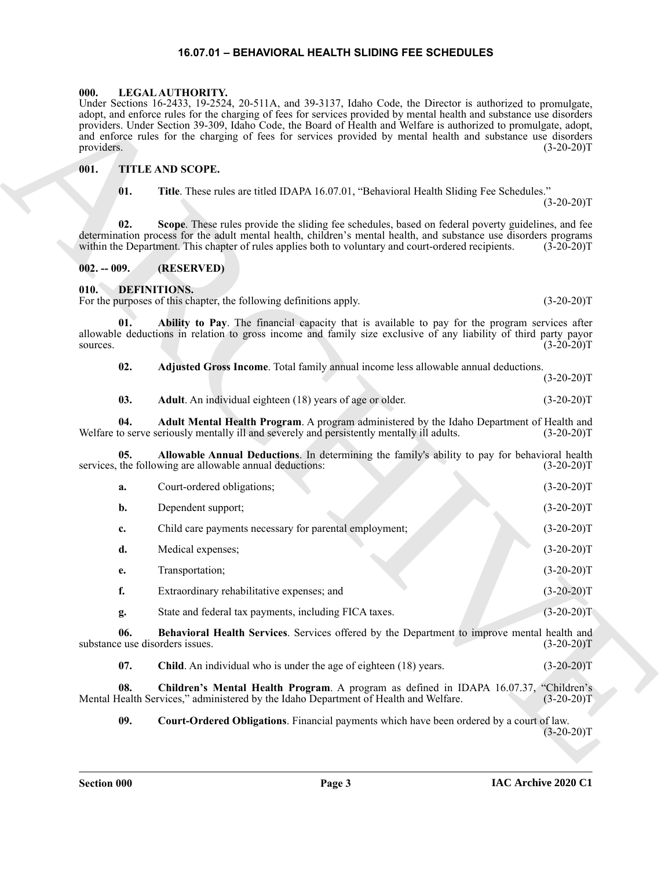#### **16.07.01 – BEHAVIORAL HEALTH SLIDING FEE SCHEDULES**

#### <span id="page-2-15"></span><span id="page-2-1"></span><span id="page-2-0"></span>**000. LEGAL AUTHORITY.**

### <span id="page-2-16"></span><span id="page-2-2"></span>**001. TITLE AND SCOPE.**

#### <span id="page-2-14"></span><span id="page-2-13"></span><span id="page-2-12"></span><span id="page-2-11"></span><span id="page-2-10"></span><span id="page-2-9"></span><span id="page-2-8"></span><span id="page-2-7"></span><span id="page-2-6"></span><span id="page-2-5"></span><span id="page-2-4"></span><span id="page-2-3"></span>**010. DEFINITIONS.**

| providers.                             | Under Sections 16-2433, 19-2524, 20-511A, and 39-3137, Idaho Code, the Director is authorized to promulgate,<br>adopt, and enforce rules for the charging of fees for services provided by mental health and substance use disorders<br>providers. Under Section 39-309, Idaho Code, the Board of Health and Welfare is authorized to promulgate, adopt,<br>and enforce rules for the charging of fees for services provided by mental health and substance use disorders | $(3-20-20)T$ |
|----------------------------------------|---------------------------------------------------------------------------------------------------------------------------------------------------------------------------------------------------------------------------------------------------------------------------------------------------------------------------------------------------------------------------------------------------------------------------------------------------------------------------|--------------|
| 001.                                   | <b>TITLE AND SCOPE.</b>                                                                                                                                                                                                                                                                                                                                                                                                                                                   |              |
| 01.                                    | Title. These rules are titled IDAPA 16.07.01, "Behavioral Health Sliding Fee Schedules."                                                                                                                                                                                                                                                                                                                                                                                  | $(3-20-20)T$ |
| 02.                                    | Scope. These rules provide the sliding fee schedules, based on federal poverty guidelines, and fee<br>determination process for the adult mental health, children's mental health, and substance use disorders programs<br>within the Department. This chapter of rules applies both to voluntary and court-ordered recipients.                                                                                                                                           | $(3-20-20)T$ |
| $002. - 009.$                          | (RESERVED)                                                                                                                                                                                                                                                                                                                                                                                                                                                                |              |
| 010.                                   | <b>DEFINITIONS.</b><br>For the purposes of this chapter, the following definitions apply.                                                                                                                                                                                                                                                                                                                                                                                 | $(3-20-20)T$ |
| 01.<br>sources.                        | Ability to Pay. The financial capacity that is available to pay for the program services after<br>allowable deductions in relation to gross income and family size exclusive of any liability of third party payor                                                                                                                                                                                                                                                        | $(3-20-20)T$ |
| 02.                                    | Adjusted Gross Income. Total family annual income less allowable annual deductions.                                                                                                                                                                                                                                                                                                                                                                                       | $(3-20-20)T$ |
| 03.                                    | Adult. An individual eighteen (18) years of age or older.                                                                                                                                                                                                                                                                                                                                                                                                                 | $(3-20-20)T$ |
| 04.                                    | Adult Mental Health Program. A program administered by the Idaho Department of Health and<br>Welfare to serve seriously mentally ill and severely and persistently mentally ill adults.                                                                                                                                                                                                                                                                                   | $(3-20-20)T$ |
| 05.                                    | Allowable Annual Deductions. In determining the family's ability to pay for behavioral health<br>services, the following are allowable annual deductions:                                                                                                                                                                                                                                                                                                                 | $(3-20-20)T$ |
| a.                                     | Court-ordered obligations;                                                                                                                                                                                                                                                                                                                                                                                                                                                | $(3-20-20)T$ |
| b.                                     | Dependent support;                                                                                                                                                                                                                                                                                                                                                                                                                                                        | $(3-20-20)T$ |
| c.                                     | Child care payments necessary for parental employment;                                                                                                                                                                                                                                                                                                                                                                                                                    | $(3-20-20)T$ |
| d.                                     | Medical expenses;                                                                                                                                                                                                                                                                                                                                                                                                                                                         | $(3-20-20)T$ |
| e.                                     | Transportation;                                                                                                                                                                                                                                                                                                                                                                                                                                                           | $(3-20-20)T$ |
| f.                                     | Extraordinary rehabilitative expenses; and                                                                                                                                                                                                                                                                                                                                                                                                                                | $(3-20-20)T$ |
| g.                                     | State and federal tax payments, including FICA taxes.                                                                                                                                                                                                                                                                                                                                                                                                                     | $(3-20-20)T$ |
| 06.<br>substance use disorders issues. | Behavioral Health Services. Services offered by the Department to improve mental health and                                                                                                                                                                                                                                                                                                                                                                               | $(3-20-20)T$ |
| 07.                                    | Child. An individual who is under the age of eighteen (18) years.                                                                                                                                                                                                                                                                                                                                                                                                         | $(3-20-20)T$ |
| 08.                                    | Children's Mental Health Program. A program as defined in IDAPA 16.07.37, "Children's<br>Mental Health Services," administered by the Idaho Department of Health and Welfare.                                                                                                                                                                                                                                                                                             | $(3-20-20)T$ |
| 09.                                    | Court-Ordered Obligations. Financial payments which have been ordered by a court of law.                                                                                                                                                                                                                                                                                                                                                                                  | $(3-20-20)T$ |
|                                        |                                                                                                                                                                                                                                                                                                                                                                                                                                                                           |              |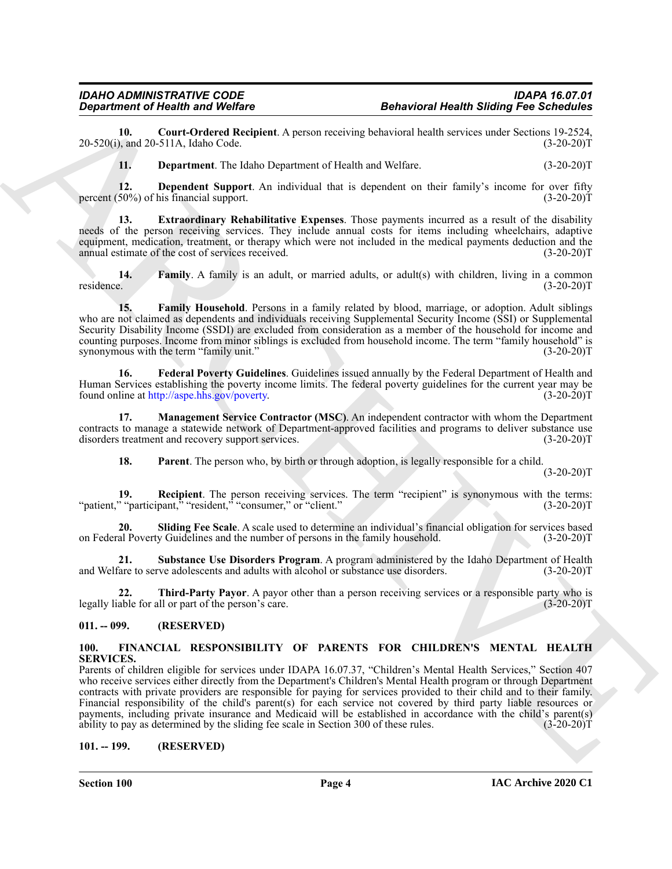#### *IDAHO ADMINISTRATIVE CODE IDAPA 16.07.01 Department of Health and Welfare Behavioral Health Sliding Fee Schedules*

**10. Court-Ordered Recipient**. A person receiving behavioral health services under Sections 19-2524,  $20-520(i)$ , and  $20-511A$ , Idaho Code.

<span id="page-3-6"></span><span id="page-3-5"></span><span id="page-3-4"></span><span id="page-3-3"></span>**11. Department**. The Idaho Department of Health and Welfare. (3-20-20)T

**12. Dependent Support**. An individual that is dependent on their family's income for over fifty 50%) of his financial support. percent  $(50\%)$  of his financial support.

**13. Extraordinary Rehabilitative Expenses**. Those payments incurred as a result of the disability needs of the person receiving services. They include annual costs for items including wheelchairs, adaptive equipment, medication, treatment, or therapy which were not included in the medical payments deduction and the annual estimate of the cost of services received. (3-20-20)T

<span id="page-3-7"></span>**14. Family**. A family is an adult, or married adults, or adult(s) with children, living in a common residence. (3-20-20)T

<span id="page-3-8"></span>**15. Family Household**. Persons in a family related by blood, marriage, or adoption. Adult siblings who are not claimed as dependents and individuals receiving Supplemental Security Income (SSI) or Supplemental Security Disability Income (SSDI) are excluded from consideration as a member of the household for income and counting purposes. Income from minor siblings is excluded from household income. The term "family household" is synonymous with the term "family unit." (3-20-20)T

<span id="page-3-9"></span>**16. Federal Poverty Guidelines**. Guidelines issued annually by the Federal Department of Health and Human Services establishing the poverty income limits. The federal poverty guidelines for the current year may be found online at http://aspe.hhs.gov/poverty. (3-20-20) found online at http://aspe.hhs.gov/poverty.

**17. Management Service Contractor (MSC)**. An independent contractor with whom the Department contracts to manage a statewide network of Department-approved facilities and programs to deliver substance use disorders treatment and recovery support services. (3-20-20)T

<span id="page-3-13"></span><span id="page-3-12"></span><span id="page-3-11"></span><span id="page-3-10"></span>**18. Parent**. The person who, by birth or through adoption, is legally responsible for a child.

 $(3-20-20)T$ 

**19. Recipient**. The person receiving services. The term "recipient" is synonymous with the terms: "patient," "participant," "resident," "consumer," or "client." (3-20-20)T

**20. Sliding Fee Scale**. A scale used to determine an individual's financial obligation for services based on Federal Poverty Guidelines and the number of persons in the family household. (3-20-20)T

<span id="page-3-14"></span>**21. Substance Use Disorders Program**. A program administered by the Idaho Department of Health and Welfare to serve adolescents and adults with alcohol or substance use disorders.

<span id="page-3-15"></span>**22. Third-Party Payor**. A payor other than a person receiving services or a responsible party who is able for all or part of the person's care. legally liable for all or part of the person's care.

#### <span id="page-3-0"></span>**011. -- 099. (RESERVED)**

#### <span id="page-3-16"></span><span id="page-3-1"></span>**100. FINANCIAL RESPONSIBILITY OF PARENTS FOR CHILDREN'S MENTAL HEALTH SERVICES.**

**Experimental Health Statistics (a) Experimental Statistics (a) Experimental Health Statistics (a)** (1932)<br>
23.9200). The Department The bistic Neumericus [C](http://aspe.hhs.gov/poverty)hristian Section Matters (a) and Section (3) 2021<br>
23.9200). Parents of children eligible for services under IDAPA 16.07.37, "Children's Mental Health Services," Section 407 who receive services either directly from the Department's Children's Mental Health program or through Department contracts with private providers are responsible for paying for services provided to their child and to their family. Financial responsibility of the child's parent(s) for each service not covered by third party liable resources or payments, including private insurance and Medicaid will be established in accordance with the child's parent(s) ability to pay as determined by the sliding fee scale in Section 300 of these rules. (3-20-20) ability to pay as determined by the sliding fee scale in Section 300 of these rules.

#### <span id="page-3-2"></span>**101. -- 199. (RESERVED)**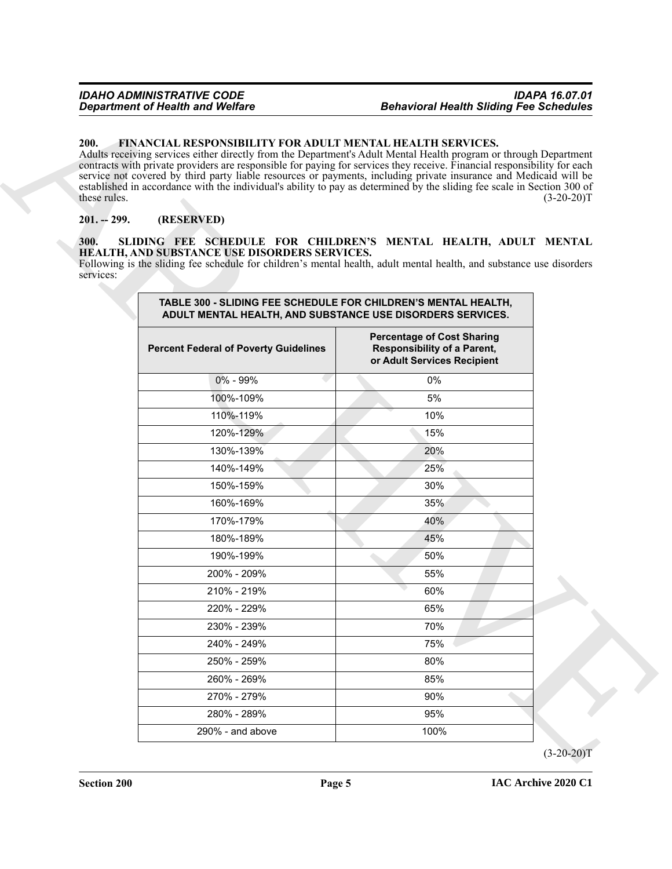#### <span id="page-4-3"></span><span id="page-4-0"></span>**200. FINANCIAL RESPONSIBILITY FOR ADULT MENTAL HEALTH SERVICES.**

#### <span id="page-4-1"></span>**201. -- 299. (RESERVED)**

#### <span id="page-4-4"></span><span id="page-4-2"></span>**300. SLIDING FEE SCHEDULE FOR CHILDREN'S MENTAL HEALTH, ADULT MENTAL HEALTH, AND SUBSTANCE USE DISORDERS SERVICES.**

| 200.<br>these rules. | <b>FINANCIAL RESPONSIBILITY FOR ADULT MENTAL HEALTH SERVICES.</b><br>Adults receiving services either directly from the Department's Adult Mental Health program or through Department<br>contracts with private providers are responsible for paying for services they receive. Financial responsibility for each<br>service not covered by third party liable resources or payments, including private insurance and Medicaid will be<br>established in accordance with the individual's ability to pay as determined by the sliding fee scale in Section 300 of |                                                                                                        | $(3-20-20)T$ |
|----------------------|--------------------------------------------------------------------------------------------------------------------------------------------------------------------------------------------------------------------------------------------------------------------------------------------------------------------------------------------------------------------------------------------------------------------------------------------------------------------------------------------------------------------------------------------------------------------|--------------------------------------------------------------------------------------------------------|--------------|
| $201. - 299.$        | (RESERVED)                                                                                                                                                                                                                                                                                                                                                                                                                                                                                                                                                         |                                                                                                        |              |
| 300.<br>services:    | SLIDING FEE SCHEDULE FOR CHILDREN'S MENTAL HEALTH, ADULT MENTAL<br>HEALTH, AND SUBSTANCE USE DISORDERS SERVICES.<br>Following is the sliding fee schedule for children's mental health, adult mental health, and substance use disorders                                                                                                                                                                                                                                                                                                                           |                                                                                                        |              |
|                      | TABLE 300 - SLIDING FEE SCHEDULE FOR CHILDREN'S MENTAL HEALTH,<br>ADULT MENTAL HEALTH, AND SUBSTANCE USE DISORDERS SERVICES.                                                                                                                                                                                                                                                                                                                                                                                                                                       |                                                                                                        |              |
|                      | <b>Percent Federal of Poverty Guidelines</b>                                                                                                                                                                                                                                                                                                                                                                                                                                                                                                                       | <b>Percentage of Cost Sharing</b><br><b>Responsibility of a Parent,</b><br>or Adult Services Recipient |              |
|                      | 0% - 99%                                                                                                                                                                                                                                                                                                                                                                                                                                                                                                                                                           | 0%                                                                                                     |              |
|                      | 100%-109%                                                                                                                                                                                                                                                                                                                                                                                                                                                                                                                                                          | 5%                                                                                                     |              |
|                      | 110%-119%                                                                                                                                                                                                                                                                                                                                                                                                                                                                                                                                                          | 10%                                                                                                    |              |
|                      | 120%-129%                                                                                                                                                                                                                                                                                                                                                                                                                                                                                                                                                          | 15%                                                                                                    |              |
|                      | 130%-139%                                                                                                                                                                                                                                                                                                                                                                                                                                                                                                                                                          | 20%                                                                                                    |              |
|                      | 140%-149%                                                                                                                                                                                                                                                                                                                                                                                                                                                                                                                                                          | 25%                                                                                                    |              |
|                      | 150%-159%                                                                                                                                                                                                                                                                                                                                                                                                                                                                                                                                                          | 30%                                                                                                    |              |
|                      | 160%-169%                                                                                                                                                                                                                                                                                                                                                                                                                                                                                                                                                          | 35%                                                                                                    |              |
|                      | 170%-179%                                                                                                                                                                                                                                                                                                                                                                                                                                                                                                                                                          | 40%                                                                                                    |              |
|                      | 180%-189%                                                                                                                                                                                                                                                                                                                                                                                                                                                                                                                                                          | 45%                                                                                                    |              |
|                      | 190%-199%                                                                                                                                                                                                                                                                                                                                                                                                                                                                                                                                                          | 50%                                                                                                    |              |
|                      | 200% - 209%                                                                                                                                                                                                                                                                                                                                                                                                                                                                                                                                                        | 55%                                                                                                    |              |
|                      | 210% - 219%                                                                                                                                                                                                                                                                                                                                                                                                                                                                                                                                                        | 60%                                                                                                    |              |
|                      | 220% - 229%                                                                                                                                                                                                                                                                                                                                                                                                                                                                                                                                                        | 65%                                                                                                    |              |
|                      | 230% - 239%                                                                                                                                                                                                                                                                                                                                                                                                                                                                                                                                                        | 70%                                                                                                    |              |
|                      | 240% - 249%                                                                                                                                                                                                                                                                                                                                                                                                                                                                                                                                                        | 75%                                                                                                    |              |
|                      | 250% - 259%                                                                                                                                                                                                                                                                                                                                                                                                                                                                                                                                                        | 80%                                                                                                    |              |
|                      | 260% - 269%                                                                                                                                                                                                                                                                                                                                                                                                                                                                                                                                                        | 85%                                                                                                    |              |
|                      | 270% - 279%                                                                                                                                                                                                                                                                                                                                                                                                                                                                                                                                                        | 90%                                                                                                    |              |
|                      | 280% - 289%                                                                                                                                                                                                                                                                                                                                                                                                                                                                                                                                                        | 95%                                                                                                    |              |
|                      |                                                                                                                                                                                                                                                                                                                                                                                                                                                                                                                                                                    |                                                                                                        |              |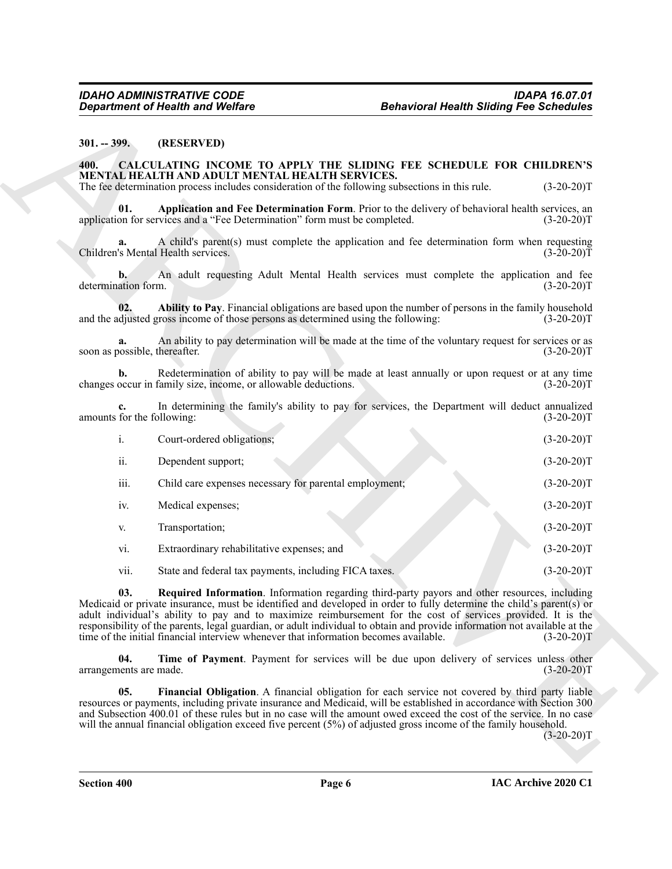#### <span id="page-5-0"></span>**301. -- 399. (RESERVED)**

#### <span id="page-5-7"></span><span id="page-5-6"></span><span id="page-5-5"></span><span id="page-5-4"></span><span id="page-5-3"></span><span id="page-5-2"></span><span id="page-5-1"></span>**400. CALCULATING INCOME TO APPLY THE SLIDING FEE SCHEDULE FOR CHILDREN'S MENTAL HEALTH AND ADULT MENTAL HEALTH SERVICES.**

| (RESERVED)<br>$301. - 399.$<br>CALCULATING INCOME TO APPLY THE SLIDING FEE SCHEDULE FOR CHILDREN'S<br>400.<br>MENTAL HEALTH AND ADULT MENTAL HEALTH SERVICES.<br>The fee determination process includes consideration of the following subsections in this rule.<br>01.<br>application for services and a "Fee Determination" form must be completed.<br>a.<br>Children's Mental Health services.<br>b.<br>determination form.<br>02.<br>and the adjusted gross income of those persons as determined using the following:<br>a.<br>soon as possible, thereafter.<br>b.<br>changes occur in family size, income, or allowable deductions.<br>$c_{\cdot}$<br>amounts for the following:<br>i.<br>Court-ordered obligations;<br>ii.<br>Dependent support;<br>iii.<br>Child care expenses necessary for parental employment;<br>iv.<br>Medical expenses;<br>Transportation;<br>V.<br>Extraordinary rehabilitative expenses; and<br>vi. | Application and Fee Determination Form. Prior to the delivery of behavioral health services, an<br>A child's parent(s) must complete the application and fee determination form when requesting<br>An adult requesting Adult Mental Health services must complete the application and fee<br>Ability to Pay. Financial obligations are based upon the number of persons in the family household<br>An ability to pay determination will be made at the time of the voluntary request for services or as<br>Redetermination of ability to pay will be made at least annually or upon request or at any time<br>In determining the family's ability to pay for services, the Department will deduct annualized | $(3-20-20)T$                                                                                                                                 |
|-------------------------------------------------------------------------------------------------------------------------------------------------------------------------------------------------------------------------------------------------------------------------------------------------------------------------------------------------------------------------------------------------------------------------------------------------------------------------------------------------------------------------------------------------------------------------------------------------------------------------------------------------------------------------------------------------------------------------------------------------------------------------------------------------------------------------------------------------------------------------------------------------------------------------------------|--------------------------------------------------------------------------------------------------------------------------------------------------------------------------------------------------------------------------------------------------------------------------------------------------------------------------------------------------------------------------------------------------------------------------------------------------------------------------------------------------------------------------------------------------------------------------------------------------------------------------------------------------------------------------------------------------------------|----------------------------------------------------------------------------------------------------------------------------------------------|
|                                                                                                                                                                                                                                                                                                                                                                                                                                                                                                                                                                                                                                                                                                                                                                                                                                                                                                                                     |                                                                                                                                                                                                                                                                                                                                                                                                                                                                                                                                                                                                                                                                                                              | $(3-20-20)T$<br>$(3-20-20)T$<br>$(3-20-20)T$<br>$(3-20-20)T$<br>$(3-20-20)T$<br>$(3-20-20)T$<br>$(3-20-20)T$<br>$(3-20-20)T$<br>$(3-20-20)T$ |
|                                                                                                                                                                                                                                                                                                                                                                                                                                                                                                                                                                                                                                                                                                                                                                                                                                                                                                                                     |                                                                                                                                                                                                                                                                                                                                                                                                                                                                                                                                                                                                                                                                                                              |                                                                                                                                              |
|                                                                                                                                                                                                                                                                                                                                                                                                                                                                                                                                                                                                                                                                                                                                                                                                                                                                                                                                     |                                                                                                                                                                                                                                                                                                                                                                                                                                                                                                                                                                                                                                                                                                              |                                                                                                                                              |
|                                                                                                                                                                                                                                                                                                                                                                                                                                                                                                                                                                                                                                                                                                                                                                                                                                                                                                                                     |                                                                                                                                                                                                                                                                                                                                                                                                                                                                                                                                                                                                                                                                                                              |                                                                                                                                              |
|                                                                                                                                                                                                                                                                                                                                                                                                                                                                                                                                                                                                                                                                                                                                                                                                                                                                                                                                     |                                                                                                                                                                                                                                                                                                                                                                                                                                                                                                                                                                                                                                                                                                              |                                                                                                                                              |
|                                                                                                                                                                                                                                                                                                                                                                                                                                                                                                                                                                                                                                                                                                                                                                                                                                                                                                                                     |                                                                                                                                                                                                                                                                                                                                                                                                                                                                                                                                                                                                                                                                                                              |                                                                                                                                              |
|                                                                                                                                                                                                                                                                                                                                                                                                                                                                                                                                                                                                                                                                                                                                                                                                                                                                                                                                     |                                                                                                                                                                                                                                                                                                                                                                                                                                                                                                                                                                                                                                                                                                              |                                                                                                                                              |
|                                                                                                                                                                                                                                                                                                                                                                                                                                                                                                                                                                                                                                                                                                                                                                                                                                                                                                                                     |                                                                                                                                                                                                                                                                                                                                                                                                                                                                                                                                                                                                                                                                                                              |                                                                                                                                              |
|                                                                                                                                                                                                                                                                                                                                                                                                                                                                                                                                                                                                                                                                                                                                                                                                                                                                                                                                     |                                                                                                                                                                                                                                                                                                                                                                                                                                                                                                                                                                                                                                                                                                              |                                                                                                                                              |
|                                                                                                                                                                                                                                                                                                                                                                                                                                                                                                                                                                                                                                                                                                                                                                                                                                                                                                                                     |                                                                                                                                                                                                                                                                                                                                                                                                                                                                                                                                                                                                                                                                                                              |                                                                                                                                              |
|                                                                                                                                                                                                                                                                                                                                                                                                                                                                                                                                                                                                                                                                                                                                                                                                                                                                                                                                     |                                                                                                                                                                                                                                                                                                                                                                                                                                                                                                                                                                                                                                                                                                              |                                                                                                                                              |
|                                                                                                                                                                                                                                                                                                                                                                                                                                                                                                                                                                                                                                                                                                                                                                                                                                                                                                                                     |                                                                                                                                                                                                                                                                                                                                                                                                                                                                                                                                                                                                                                                                                                              |                                                                                                                                              |
|                                                                                                                                                                                                                                                                                                                                                                                                                                                                                                                                                                                                                                                                                                                                                                                                                                                                                                                                     |                                                                                                                                                                                                                                                                                                                                                                                                                                                                                                                                                                                                                                                                                                              | $(3-20-20)T$                                                                                                                                 |
|                                                                                                                                                                                                                                                                                                                                                                                                                                                                                                                                                                                                                                                                                                                                                                                                                                                                                                                                     |                                                                                                                                                                                                                                                                                                                                                                                                                                                                                                                                                                                                                                                                                                              | $(3-20-20)T$                                                                                                                                 |
|                                                                                                                                                                                                                                                                                                                                                                                                                                                                                                                                                                                                                                                                                                                                                                                                                                                                                                                                     |                                                                                                                                                                                                                                                                                                                                                                                                                                                                                                                                                                                                                                                                                                              | $(3-20-20)T$                                                                                                                                 |
|                                                                                                                                                                                                                                                                                                                                                                                                                                                                                                                                                                                                                                                                                                                                                                                                                                                                                                                                     |                                                                                                                                                                                                                                                                                                                                                                                                                                                                                                                                                                                                                                                                                                              | $(3-20-20)T$                                                                                                                                 |
| vii.<br>State and federal tax payments, including FICA taxes.                                                                                                                                                                                                                                                                                                                                                                                                                                                                                                                                                                                                                                                                                                                                                                                                                                                                       |                                                                                                                                                                                                                                                                                                                                                                                                                                                                                                                                                                                                                                                                                                              | $(3-20-20)T$                                                                                                                                 |
| 03.<br>Medicaid or private insurance, must be identified and developed in order to fully determine the child's parent(s) or<br>adult individual's ability to pay and to maximize reimbursement for the cost of services provided. It is the<br>responsibility of the parents, legal guardian, or adult individual to obtain and provide information not available at the<br>time of the initial financial interview whenever that information becomes available.                                                                                                                                                                                                                                                                                                                                                                                                                                                                    | Required Information. Information regarding third-party payors and other resources, including                                                                                                                                                                                                                                                                                                                                                                                                                                                                                                                                                                                                                | $(3-20-20)T$                                                                                                                                 |
| 04.<br>arrangements are made.                                                                                                                                                                                                                                                                                                                                                                                                                                                                                                                                                                                                                                                                                                                                                                                                                                                                                                       | Time of Payment. Payment for services will be due upon delivery of services unless other                                                                                                                                                                                                                                                                                                                                                                                                                                                                                                                                                                                                                     | $(3-20-20)T$                                                                                                                                 |
| 05.<br>resources or payments, including private insurance and Medicaid, will be established in accordance with Section 300<br>and Subsection 400.01 of these rules but in no case will the amount owed exceed the cost of the service. In no case<br>will the annual financial obligation exceed five percent (5%) of adjusted gross income of the family household.                                                                                                                                                                                                                                                                                                                                                                                                                                                                                                                                                                | Financial Obligation. A financial obligation for each service not covered by third party liable                                                                                                                                                                                                                                                                                                                                                                                                                                                                                                                                                                                                              | $(3-20-20)T$                                                                                                                                 |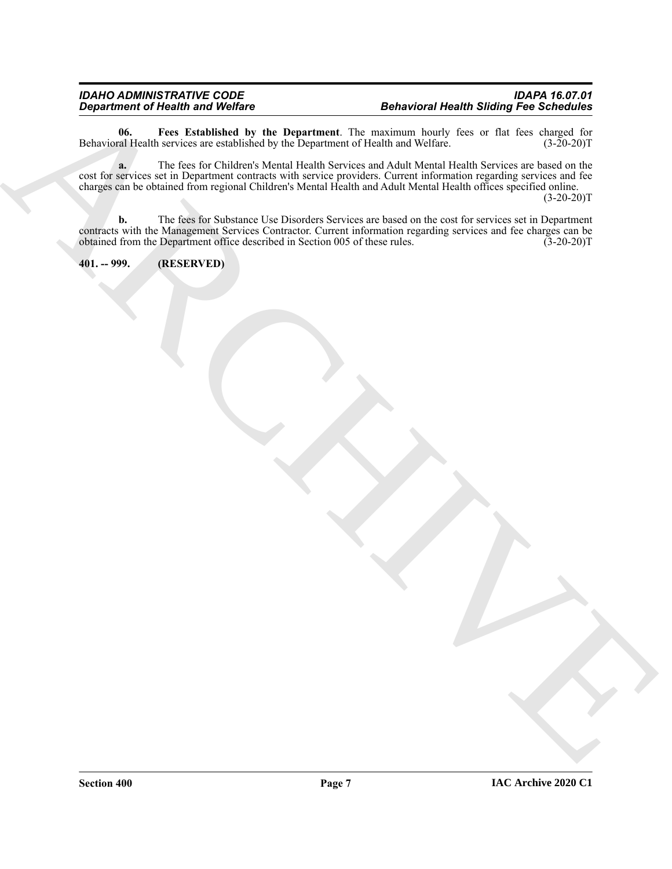<span id="page-6-1"></span>**06.** Fees Established by the Department. The maximum hourly fees or flat fees charged for al Health services are established by the Department of Health and Welfare. (3-20-20)T Behavioral Health services are established by the Department of Health and Welfare.

Department of Nicarity in Worlds Co. the Department Life maximum behind the animal stating First Schrödules.<br>
Definition in the case for California Mean Henric was deal and a stationary of the case of the stating of the<br>
c **a.** The fees for Children's Mental Health Services and Adult Mental Health Services are based on the cost for services set in Department contracts with service providers. Current information regarding services and fee charges can be obtained from regional Children's Mental Health and Adult Mental Health offices specified online.  $(3-20-20)T$ 

**b.** The fees for Substance Use Disorders Services are based on the cost for services set in Department contracts with the Management Services Contractor. Current information regarding services and fee charges can be obtained from the Department office described in Section 005 of these rules. (3-20-20)T obtained from the Department office described in Section 005 of these rules.

<span id="page-6-0"></span>**401. -- 999. (RESERVED)**